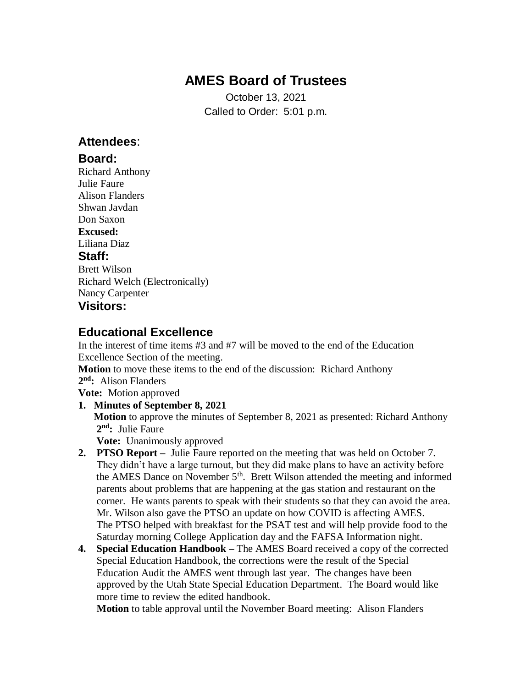# **AMES Board of Trustees**

October 13, 2021 Called to Order: 5:01 p.m.

### **Attendees**:

### **Board:**

Richard Anthony Julie Faure Alison Flanders Shwan Javdan Don Saxon **Excused:** Liliana Diaz **Staff:** Brett Wilson Richard Welch (Electronically) Nancy Carpenter **Visitors:**

### **Educational Excellence**

In the interest of time items #3 and #7 will be moved to the end of the Education Excellence Section of the meeting.

**Motion** to move these items to the end of the discussion: Richard Anthony

#### **2 nd:** Alison Flanders

**Vote:** Motion approved

#### **1. Minutes of September 8, 2021** – **Motion** to approve the minutes of September 8, 2021 as presented: Richard Anthony 2<sup>nd</sup>: Julie Faure **Vote:** Unanimously approved

- **2. PTSO Report –** Julie Faure reported on the meeting that was held on October 7. They didn't have a large turnout, but they did make plans to have an activity before the AMES Dance on November  $5<sup>th</sup>$ . Brett Wilson attended the meeting and informed parents about problems that are happening at the gas station and restaurant on the corner. He wants parents to speak with their students so that they can avoid the area. Mr. Wilson also gave the PTSO an update on how COVID is affecting AMES. The PTSO helped with breakfast for the PSAT test and will help provide food to the Saturday morning College Application day and the FAFSA Information night.
- **4. Special Education Handbook –** The AMES Board received a copy of the corrected Special Education Handbook, the corrections were the result of the Special Education Audit the AMES went through last year. The changes have been approved by the Utah State Special Education Department. The Board would like more time to review the edited handbook.

**Motion** to table approval until the November Board meeting: Alison Flanders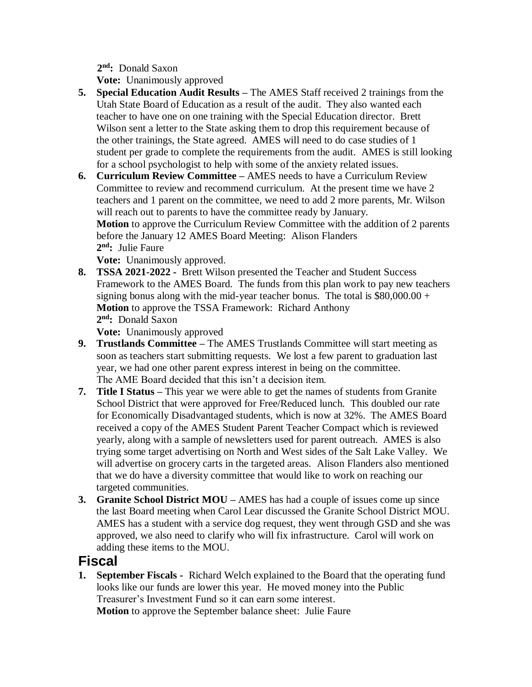**2 nd:** Donald Saxon

**Vote:** Unanimously approved

- **5. Special Education Audit Results –** The AMES Staff received 2 trainings from the Utah State Board of Education as a result of the audit. They also wanted each teacher to have one on one training with the Special Education director. Brett Wilson sent a letter to the State asking them to drop this requirement because of the other trainings, the State agreed. AMES will need to do case studies of 1 student per grade to complete the requirements from the audit. AMES is still looking for a school psychologist to help with some of the anxiety related issues.
- **6. Curriculum Review Committee –** AMES needs to have a Curriculum Review Committee to review and recommend curriculum. At the present time we have 2 teachers and 1 parent on the committee, we need to add 2 more parents, Mr. Wilson will reach out to parents to have the committee ready by January. **Motion** to approve the Curriculum Review Committee with the addition of 2 parents before the January 12 AMES Board Meeting: Alison Flanders 2<sup>nd</sup>: Julie Faure

 **Vote:** Unanimously approved.

**8. TSSA 2021-2022 -** Brett Wilson presented the Teacher and Student Success Framework to the AMES Board. The funds from this plan work to pay new teachers signing bonus along with the mid-year teacher bonus. The total is \$80,000.00 + **Motion** to approve the TSSA Framework: Richard Anthony **2 nd:** Donald Saxon

**Vote:** Unanimously approved

- **9. Trustlands Committee –** The AMES Trustlands Committee will start meeting as soon as teachers start submitting requests. We lost a few parent to graduation last year, we had one other parent express interest in being on the committee. The AME Board decided that this isn't a decision item.
- **7. Title I Status –** This year we were able to get the names of students from Granite School District that were approved for Free/Reduced lunch. This doubled our rate for Economically Disadvantaged students, which is now at 32%. The AMES Board received a copy of the AMES Student Parent Teacher Compact which is reviewed yearly, along with a sample of newsletters used for parent outreach. AMES is also trying some target advertising on North and West sides of the Salt Lake Valley. We will advertise on grocery carts in the targeted areas. Alison Flanders also mentioned that we do have a diversity committee that would like to work on reaching our targeted communities.
- **3. Granite School District MOU –** AMES has had a couple of issues come up since the last Board meeting when Carol Lear discussed the Granite School District MOU. AMES has a student with a service dog request, they went through GSD and she was approved, we also need to clarify who will fix infrastructure. Carol will work on adding these items to the MOU.

## **Fiscal**

**1. September Fiscals -** Richard Welch explained to the Board that the operating fund looks like our funds are lower this year. He moved money into the Public Treasurer's Investment Fund so it can earn some interest. **Motion** to approve the September balance sheet: Julie Faure